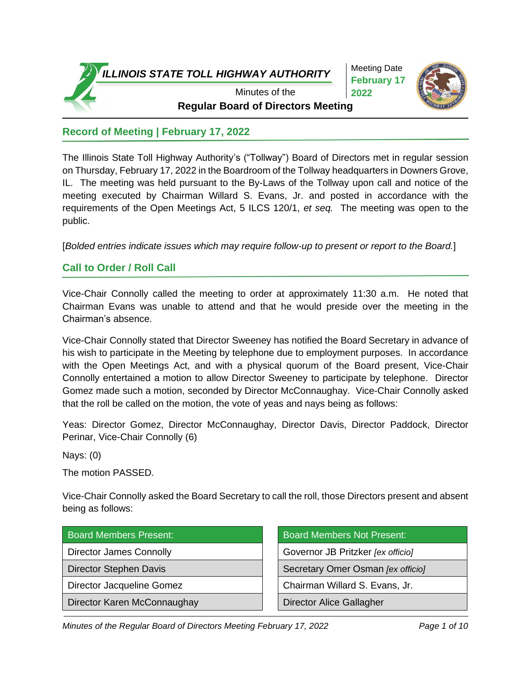Meeting Date **February 17 2022**



**Regular Board of Directors Meeting** Minutes of the

# **Record of Meeting | February 17, 2022**

The Illinois State Toll Highway Authority's ("Tollway") Board of Directors met in regular session on Thursday, February 17, 2022 in the Boardroom of the Tollway headquarters in Downers Grove, IL. The meeting was held pursuant to the By-Laws of the Tollway upon call and notice of the meeting executed by Chairman Willard S. Evans, Jr. and posted in accordance with the requirements of the Open Meetings Act, 5 ILCS 120/1, *et seq.* The meeting was open to the public.

[*Bolded entries indicate issues which may require follow-up to present or report to the Board.*]

# **Call to Order / Roll Call**

Vice-Chair Connolly called the meeting to order at approximately 11:30 a.m. He noted that Chairman Evans was unable to attend and that he would preside over the meeting in the Chairman's absence.

Vice-Chair Connolly stated that Director Sweeney has notified the Board Secretary in advance of his wish to participate in the Meeting by telephone due to employment purposes. In accordance with the Open Meetings Act, and with a physical quorum of the Board present, Vice-Chair Connolly entertained a motion to allow Director Sweeney to participate by telephone. Director Gomez made such a motion, seconded by Director McConnaughay. Vice-Chair Connolly asked that the roll be called on the motion, the vote of yeas and nays being as follows:

Yeas: Director Gomez, Director McConnaughay, Director Davis, Director Paddock, Director Perinar, Vice-Chair Connolly (6)

Nays: (0)

The motion PASSED.

Vice-Chair Connolly asked the Board Secretary to call the roll, those Directors present and absent being as follows:

| <b>Board Members Present:</b> |  |
|-------------------------------|--|
|                               |  |

Director Karen McConnaughay **Director Alice Gallagher** 

Board Members Not Present: Director James Connolly **Governor JB** Pritzker *[ex officio]* Director Stephen Davis **Secretary Omer Osman** *[ex officio]* Director Jacqueline Gomez Chairman Willard S. Evans, Jr.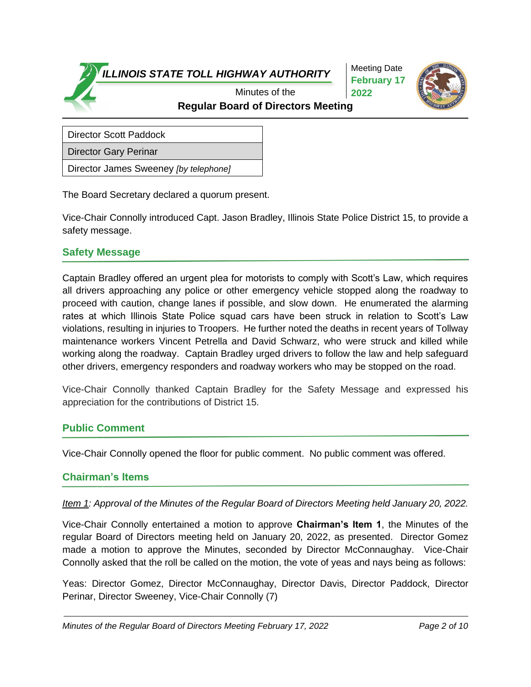Meeting Date **February 17 2022**



**Regular Board of Directors Meeting** Minutes of the

Director Scott Paddock

Director Gary Perinar

Director James Sweeney *[by telephone]*

The Board Secretary declared a quorum present.

Vice-Chair Connolly introduced Capt. Jason Bradley, Illinois State Police District 15, to provide a safety message.

#### **Safety Message**

Captain Bradley offered an urgent plea for motorists to comply with Scott's Law, which requires all drivers approaching any police or other emergency vehicle stopped along the roadway to proceed with caution, change lanes if possible, and slow down. He enumerated the alarming rates at which Illinois State Police squad cars have been struck in relation to Scott's Law violations, resulting in injuries to Troopers. He further noted the deaths in recent years of Tollway maintenance workers Vincent Petrella and David Schwarz, who were struck and killed while working along the roadway. Captain Bradley urged drivers to follow the law and help safeguard other drivers, emergency responders and roadway workers who may be stopped on the road.

Vice-Chair Connolly thanked Captain Bradley for the Safety Message and expressed his appreciation for the contributions of District 15.

### **Public Comment**

Vice-Chair Connolly opened the floor for public comment. No public comment was offered.

#### **Chairman's Items**

#### *Item 1: Approval of the Minutes of the Regular Board of Directors Meeting held January 20, 2022.*

Vice-Chair Connolly entertained a motion to approve **Chairman's Item 1**, the Minutes of the regular Board of Directors meeting held on January 20, 2022, as presented. Director Gomez made a motion to approve the Minutes, seconded by Director McConnaughay. Vice-Chair Connolly asked that the roll be called on the motion, the vote of yeas and nays being as follows:

Yeas: Director Gomez, Director McConnaughay, Director Davis, Director Paddock, Director Perinar, Director Sweeney, Vice-Chair Connolly (7)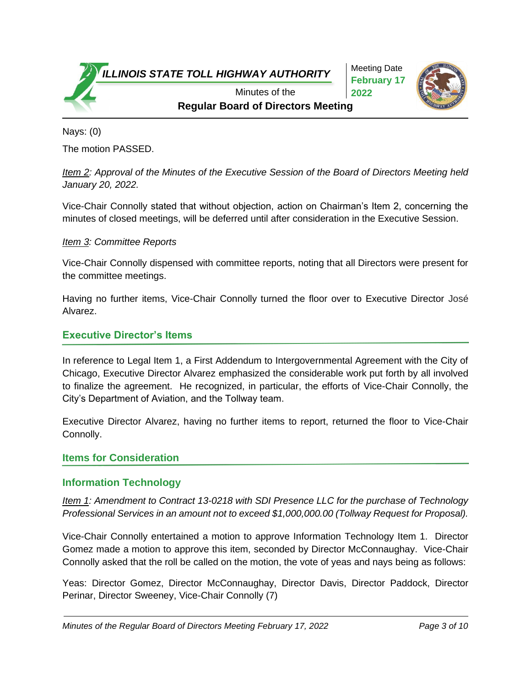Meeting Date **February 17 2022**



**Regular Board of Directors Meeting** Minutes of the

Nays: (0) The motion PASSED.

*Item 2: Approval of the Minutes of the Executive Session of the Board of Directors Meeting held January 20, 2022.*

Vice-Chair Connolly stated that without objection, action on Chairman's Item 2, concerning the minutes of closed meetings, will be deferred until after consideration in the Executive Session.

### *Item 3: Committee Reports*

Vice-Chair Connolly dispensed with committee reports, noting that all Directors were present for the committee meetings.

Having no further items, Vice-Chair Connolly turned the floor over to Executive Director José Alvarez.

### **Executive Director's Items**

In reference to Legal Item 1, a First Addendum to Intergovernmental Agreement with the City of Chicago, Executive Director Alvarez emphasized the considerable work put forth by all involved to finalize the agreement. He recognized, in particular, the efforts of Vice-Chair Connolly, the City's Department of Aviation, and the Tollway team.

Executive Director Alvarez, having no further items to report, returned the floor to Vice-Chair Connolly.

### **Items for Consideration**

### **Information Technology**

*Item 1: Amendment to Contract 13-0218 with SDI Presence LLC for the purchase of Technology Professional Services in an amount not to exceed \$1,000,000.00 (Tollway Request for Proposal).*

Vice-Chair Connolly entertained a motion to approve Information Technology Item 1. Director Gomez made a motion to approve this item, seconded by Director McConnaughay. Vice-Chair Connolly asked that the roll be called on the motion, the vote of yeas and nays being as follows:

Yeas: Director Gomez, Director McConnaughay, Director Davis, Director Paddock, Director Perinar, Director Sweeney, Vice-Chair Connolly (7)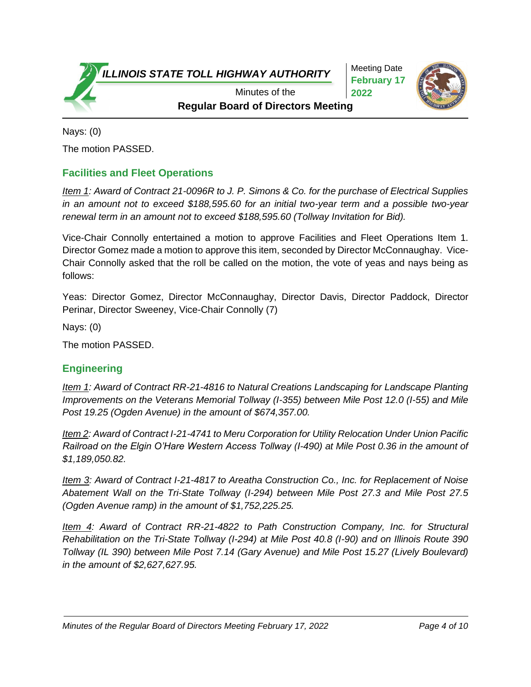Meeting Date **February 17 2022**



**Regular Board of Directors Meeting** Minutes of the

Nays: (0) The motion PASSED.

# **Facilities and Fleet Operations**

*Item 1: Award of Contract 21-0096R to J. P. Simons & Co. for the purchase of Electrical Supplies in an amount not to exceed \$188,595.60 for an initial two-year term and a possible two-year renewal term in an amount not to exceed \$188,595.60 (Tollway Invitation for Bid).*

Vice-Chair Connolly entertained a motion to approve Facilities and Fleet Operations Item 1. Director Gomez made a motion to approve this item, seconded by Director McConnaughay. Vice-Chair Connolly asked that the roll be called on the motion, the vote of yeas and nays being as follows:

Yeas: Director Gomez, Director McConnaughay, Director Davis, Director Paddock, Director Perinar, Director Sweeney, Vice-Chair Connolly (7)

Nays: (0)

The motion PASSED.

## **Engineering**

*Item 1: Award of Contract RR-21-4816 to Natural Creations Landscaping for Landscape Planting Improvements on the Veterans Memorial Tollway (I-355) between Mile Post 12.0 (I-55) and Mile Post 19.25 (Ogden Avenue) in the amount of \$674,357.00.*

*Item 2: Award of Contract I-21-4741 to Meru Corporation for Utility Relocation Under Union Pacific Railroad on the Elgin O'Hare Western Access Tollway (I-490) at Mile Post 0.36 in the amount of \$1,189,050.82.* 

*Item 3: Award of Contract I-21-4817 to Areatha Construction Co., Inc. for Replacement of Noise Abatement Wall on the Tri-State Tollway (I-294) between Mile Post 27.3 and Mile Post 27.5 (Ogden Avenue ramp) in the amount of \$1,752,225.25.* 

*Item 4: Award of Contract RR-21-4822 to Path Construction Company, Inc. for Structural Rehabilitation on the Tri-State Tollway (I-294) at Mile Post 40.8 (I-90) and on Illinois Route 390 Tollway (IL 390) between Mile Post 7.14 (Gary Avenue) and Mile Post 15.27 (Lively Boulevard) in the amount of \$2,627,627.95.*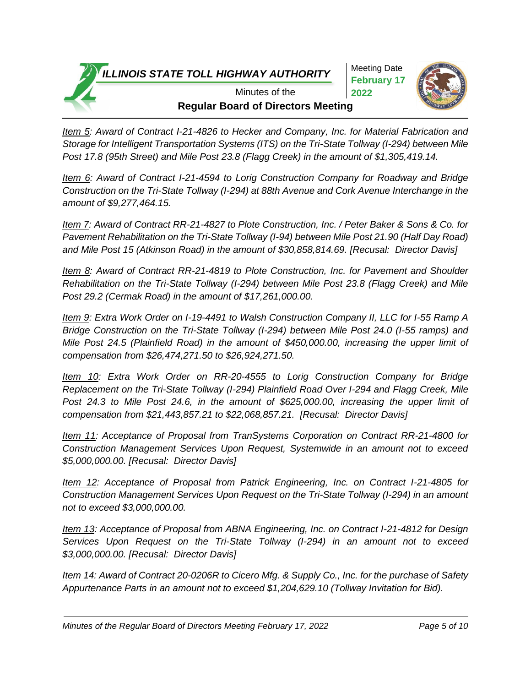Meeting Date **February 17 2022**



**Regular Board of Directors Meeting** Minutes of the

*Item 5: Award of Contract I-21-4826 to Hecker and Company, Inc. for Material Fabrication and Storage for Intelligent Transportation Systems (ITS) on the Tri-State Tollway (I-294) between Mile Post 17.8 (95th Street) and Mile Post 23.8 (Flagg Creek) in the amount of \$1,305,419.14.* 

*Item 6: Award of Contract I-21-4594 to Lorig Construction Company for Roadway and Bridge Construction on the Tri-State Tollway (I-294) at 88th Avenue and Cork Avenue Interchange in the amount of \$9,277,464.15.* 

*Item 7: Award of Contract RR-21-4827 to Plote Construction, Inc. / Peter Baker & Sons & Co. for Pavement Rehabilitation on the Tri-State Tollway (I-94) between Mile Post 21.90 (Half Day Road) and Mile Post 15 (Atkinson Road) in the amount of \$30,858,814.69. [Recusal: Director Davis]*

*Item 8: Award of Contract RR-21-4819 to Plote Construction, Inc. for Pavement and Shoulder Rehabilitation on the Tri-State Tollway (I-294) between Mile Post 23.8 (Flagg Creek) and Mile Post 29.2 (Cermak Road) in the amount of \$17,261,000.00.* 

*Item 9: Extra Work Order on I-19-4491 to Walsh Construction Company II, LLC for I-55 Ramp A Bridge Construction on the Tri-State Tollway (I-294) between Mile Post 24.0 (I-55 ramps) and Mile Post 24.5 (Plainfield Road) in the amount of \$450,000.00, increasing the upper limit of compensation from \$26,474,271.50 to \$26,924,271.50.*

*Item 10: Extra Work Order on RR-20-4555 to Lorig Construction Company for Bridge Replacement on the Tri-State Tollway (I-294) Plainfield Road Over I-294 and Flagg Creek, Mile Post 24.3 to Mile Post 24.6, in the amount of \$625,000.00, increasing the upper limit of compensation from \$21,443,857.21 to \$22,068,857.21. [Recusal: Director Davis]*

*Item 11: Acceptance of Proposal from TranSystems Corporation on Contract RR-21-4800 for Construction Management Services Upon Request, Systemwide in an amount not to exceed \$5,000,000.00. [Recusal: Director Davis]*

*Item 12: Acceptance of Proposal from Patrick Engineering, Inc. on Contract I-21-4805 for Construction Management Services Upon Request on the Tri-State Tollway (I-294) in an amount not to exceed \$3,000,000.00.*

*Item 13: Acceptance of Proposal from ABNA Engineering, Inc. on Contract I-21-4812 for Design Services Upon Request on the Tri-State Tollway (I-294) in an amount not to exceed \$3,000,000.00. [Recusal: Director Davis]*

*Item 14: Award of Contract 20-0206R to Cicero Mfg. & Supply Co., Inc. for the purchase of Safety Appurtenance Parts in an amount not to exceed \$1,204,629.10 (Tollway Invitation for Bid).*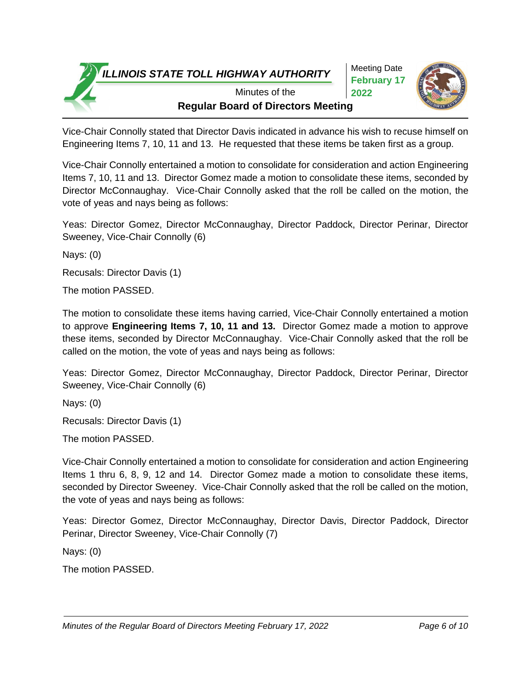Meeting Date **February 17 2022**



**Regular Board of Directors Meeting** Minutes of the

Vice-Chair Connolly stated that Director Davis indicated in advance his wish to recuse himself on Engineering Items 7, 10, 11 and 13. He requested that these items be taken first as a group.

Vice-Chair Connolly entertained a motion to consolidate for consideration and action Engineering Items 7, 10, 11 and 13. Director Gomez made a motion to consolidate these items, seconded by Director McConnaughay. Vice-Chair Connolly asked that the roll be called on the motion, the vote of yeas and nays being as follows:

Yeas: Director Gomez, Director McConnaughay, Director Paddock, Director Perinar, Director Sweeney, Vice-Chair Connolly (6)

Nays: (0)

Recusals: Director Davis (1)

The motion PASSED.

The motion to consolidate these items having carried, Vice-Chair Connolly entertained a motion to approve **Engineering Items 7, 10, 11 and 13.** Director Gomez made a motion to approve these items, seconded by Director McConnaughay. Vice-Chair Connolly asked that the roll be called on the motion, the vote of yeas and nays being as follows:

Yeas: Director Gomez, Director McConnaughay, Director Paddock, Director Perinar, Director Sweeney, Vice-Chair Connolly (6)

Nays: (0)

Recusals: Director Davis (1)

The motion PASSED.

Vice-Chair Connolly entertained a motion to consolidate for consideration and action Engineering Items 1 thru 6, 8, 9, 12 and 14. Director Gomez made a motion to consolidate these items, seconded by Director Sweeney. Vice-Chair Connolly asked that the roll be called on the motion, the vote of yeas and nays being as follows:

Yeas: Director Gomez, Director McConnaughay, Director Davis, Director Paddock, Director Perinar, Director Sweeney, Vice-Chair Connolly (7)

Nays: (0)

The motion PASSED.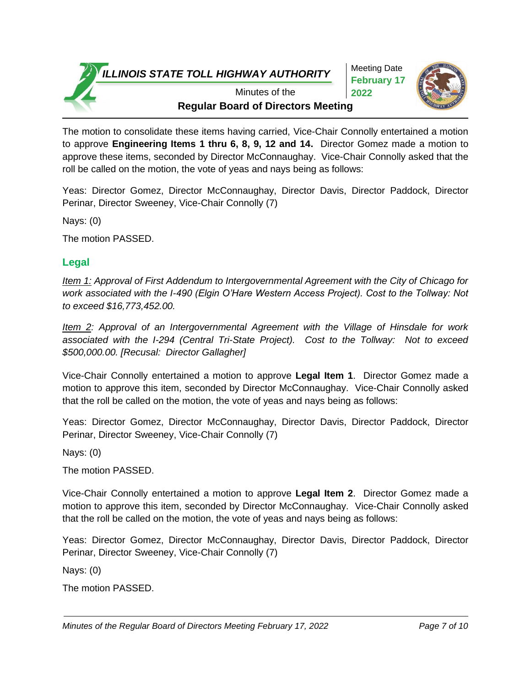Meeting Date **February 17 2022**



**Regular Board of Directors Meeting** Minutes of the

The motion to consolidate these items having carried, Vice-Chair Connolly entertained a motion to approve **Engineering Items 1 thru 6, 8, 9, 12 and 14.** Director Gomez made a motion to approve these items, seconded by Director McConnaughay. Vice-Chair Connolly asked that the roll be called on the motion, the vote of yeas and nays being as follows:

Yeas: Director Gomez, Director McConnaughay, Director Davis, Director Paddock, Director Perinar, Director Sweeney, Vice-Chair Connolly (7)

Nays: (0)

The motion PASSED.

# **Legal**

*Item 1: Approval of First Addendum to Intergovernmental Agreement with the City of Chicago for work associated with the I-490 (Elgin O'Hare Western Access Project). Cost to the Tollway: Not to exceed \$16,773,452.00.*

*Item 2: Approval of an Intergovernmental Agreement with the Village of Hinsdale for work associated with the I-294 (Central Tri-State Project). Cost to the Tollway: Not to exceed \$500,000.00. [Recusal: Director Gallagher]*

Vice-Chair Connolly entertained a motion to approve **Legal Item 1**. Director Gomez made a motion to approve this item, seconded by Director McConnaughay. Vice-Chair Connolly asked that the roll be called on the motion, the vote of yeas and nays being as follows:

Yeas: Director Gomez, Director McConnaughay, Director Davis, Director Paddock, Director Perinar, Director Sweeney, Vice-Chair Connolly (7)

Nays: (0)

The motion PASSED.

Vice-Chair Connolly entertained a motion to approve **Legal Item 2**. Director Gomez made a motion to approve this item, seconded by Director McConnaughay. Vice-Chair Connolly asked that the roll be called on the motion, the vote of yeas and nays being as follows:

Yeas: Director Gomez, Director McConnaughay, Director Davis, Director Paddock, Director Perinar, Director Sweeney, Vice-Chair Connolly (7)

Nays: (0)

The motion PASSED.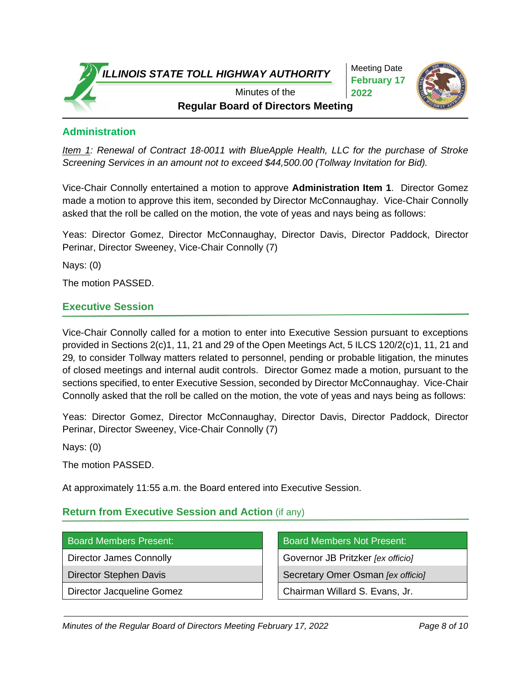Meeting Date **February 17 2022**



**Regular Board of Directors Meeting** Minutes of the

## **Administration**

*Item 1: Renewal of Contract 18-0011 with BlueApple Health, LLC for the purchase of Stroke Screening Services in an amount not to exceed \$44,500.00 (Tollway Invitation for Bid).*

Vice-Chair Connolly entertained a motion to approve **Administration Item 1**. Director Gomez made a motion to approve this item, seconded by Director McConnaughay. Vice-Chair Connolly asked that the roll be called on the motion, the vote of yeas and nays being as follows:

Yeas: Director Gomez, Director McConnaughay, Director Davis, Director Paddock, Director Perinar, Director Sweeney, Vice-Chair Connolly (7)

Nays: (0)

The motion PASSED.

## **Executive Session**

Vice-Chair Connolly called for a motion to enter into Executive Session pursuant to exceptions provided in Sections 2(c)1, 11, 21 and 29 of the Open Meetings Act, 5 ILCS 120/2(c)1, 11, 21 and 29*,* to consider Tollway matters related to personnel, pending or probable litigation, the minutes of closed meetings and internal audit controls. Director Gomez made a motion, pursuant to the sections specified, to enter Executive Session, seconded by Director McConnaughay. Vice-Chair Connolly asked that the roll be called on the motion, the vote of yeas and nays being as follows:

Yeas: Director Gomez, Director McConnaughay, Director Davis, Director Paddock, Director Perinar, Director Sweeney, Vice-Chair Connolly (7)

Nays: (0)

The motion PASSED.

At approximately 11:55 a.m. the Board entered into Executive Session.

### **Return from Executive Session and Action** (if any)

Board Members Present: Board Members Not Present: Director James Connolly Governor JB Pritzker *[ex officio]* Director Stephen Davis **Secretary Omer Osman** *[ex officio]* Secretary Omer Osman *[ex officio]* Director Jacqueline Gomez **Chairman Willard S. Evans, Jr.**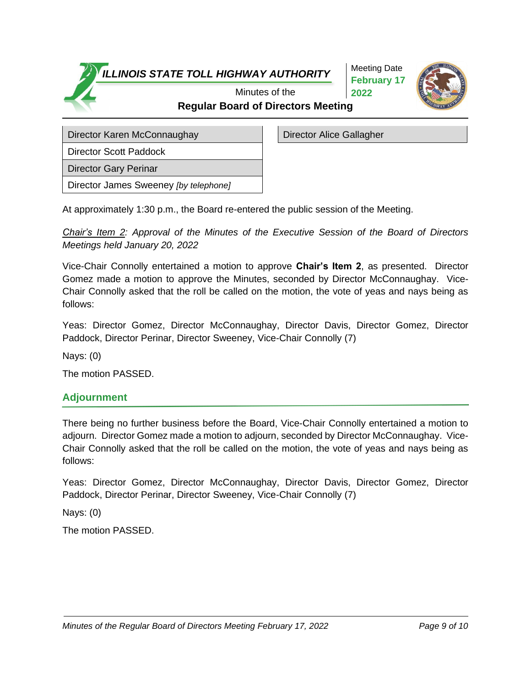Meeting Date **February 17 2022**



**Regular Board of Directors Meeting** Minutes of the

Director Karen McConnaughay **Director Alice Gallagher** 

Director Scott Paddock

Director Gary Perinar

Director James Sweeney *[by telephone]*

At approximately 1:30 p.m., the Board re-entered the public session of the Meeting.

*Chair's Item 2: Approval of the Minutes of the Executive Session of the Board of Directors Meetings held January 20, 2022*

Vice-Chair Connolly entertained a motion to approve **Chair's Item 2**, as presented. Director Gomez made a motion to approve the Minutes, seconded by Director McConnaughay. Vice-Chair Connolly asked that the roll be called on the motion, the vote of yeas and nays being as follows:

Yeas: Director Gomez, Director McConnaughay, Director Davis, Director Gomez, Director Paddock, Director Perinar, Director Sweeney, Vice-Chair Connolly (7)

Nays: (0)

The motion PASSED.

## **Adjournment**

There being no further business before the Board, Vice-Chair Connolly entertained a motion to adjourn.Director Gomez made a motion to adjourn, seconded by Director McConnaughay. Vice-Chair Connolly asked that the roll be called on the motion, the vote of yeas and nays being as follows:

Yeas: Director Gomez, Director McConnaughay, Director Davis, Director Gomez, Director Paddock, Director Perinar, Director Sweeney, Vice-Chair Connolly (7)

Nays: (0)

The motion PASSED.